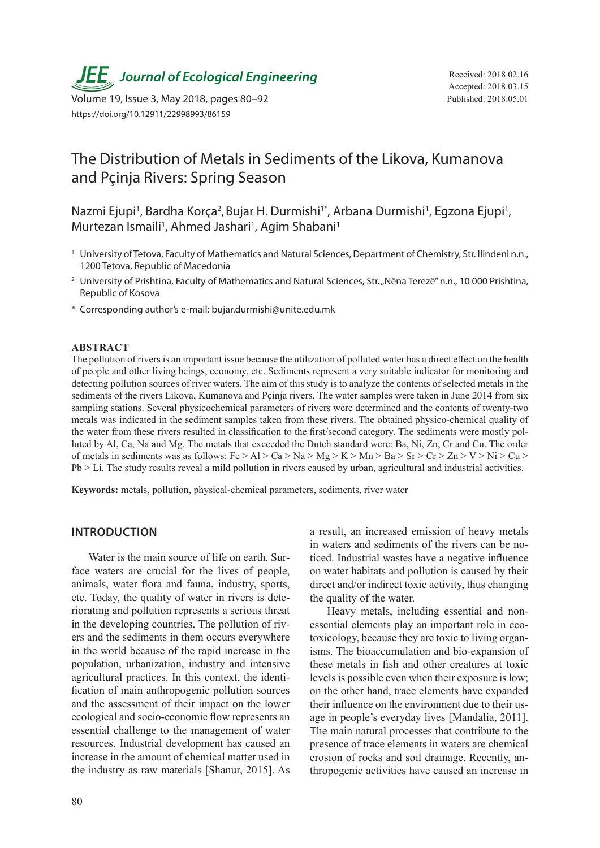**JEE**<sub>,</sub> Journal of Ecological Engineering Received: 2018.02.16

Volume 19, Issue 3, May 2018, pages 80–92 Published: 2018.05.01 https://doi.org/10.12911/22998993/86159

# The Distribution of Metals in Sediments of the Likova, Kumanova and Pçinja Rivers: Spring Season

Nazmi Ejupi<sup>1</sup>, Bardha Korça<sup>2</sup>, Bujar H. Durmishi<sup>1\*</sup>, Arbana Durmishi<sup>1</sup>, Egzona Ejupi<sup>1</sup>, Murtezan Ismaili<sup>1</sup>, Ahmed Jashari<sup>1</sup>, Agim Shabani<sup>1</sup>

- <sup>1</sup> University of Tetova, Faculty of Mathematics and Natural Sciences, Department of Chemistry, Str. Ilindeni n.n., 1200 Tetova, Republic of Macedonia
- <sup>2</sup> University of Prishtina, Faculty of Mathematics and Natural Sciences, Str. "Nëna Terezë" n.n., 10 000 Prishtina, Republic of Kosova
- \* Corresponding author's e-mail: bujar.durmishi@unite.edu.mk

#### **ABSTRACT**

The pollution of rivers is an important issue because the utilization of polluted water has a direct effect on the health of people and other living beings, economy, etc. Sediments represent a very suitable indicator for monitoring and detecting pollution sources of river waters. The aim of this study is to analyze the contents of selected metals in the sediments of the rivers Likova, Kumanova and Pcinia rivers. The water samples were taken in June 2014 from six sampling stations. Several physicochemical parameters of rivers were determined and the contents of twenty-two metals was indicated in the sediment samples taken from these rivers. The obtained physico-chemical quality of the water from these rivers resulted in classification to the first/second category. The sediments were mostly polluted by Al, Ca, Na and Mg. The metals that exceeded the Dutch standard were: Ba, Ni, Zn, Cr and Cu. The order of metals in sediments was as follows:  $Fe > Al > Ca > Na > Mg > K > Mn > Ba > Sr > Cr > Zn > V > Ni > Cu >$ Pb > Li. The study results reveal a mild pollution in rivers caused by urban, agricultural and industrial activities.

**Keywords:** metals, pollution, physical-chemical parameters, sediments, river water

## **INTRODUCTION**

Water is the main source of life on earth. Surface waters are crucial for the lives of people, animals, water flora and fauna, industry, sports, etc. Today, the quality of water in rivers is deteriorating and pollution represents a serious threat in the developing countries. The pollution of rivers and the sediments in them occurs everywhere in the world because of the rapid increase in the population, urbanization, industry and intensive agricultural practices. In this context, the identification of main anthropogenic pollution sources and the assessment of their impact on the lower ecological and socio-economic flow represents an essential challenge to the management of water resources. Industrial development has caused an increase in the amount of chemical matter used in the industry as raw materials [Shanur, 2015]. As

a result, an increased emission of heavy metals in waters and sediments of the rivers can be noticed. Industrial wastes have a negative influence on water habitats and pollution is caused by their direct and/or indirect toxic activity, thus changing the quality of the water.

Heavy metals, including essential and nonessential elements play an important role in ecotoxicology, because they are toxic to living organisms. The bioaccumulation and bio-expansion of these metals in fish and other creatures at toxic levels is possible even when their exposure is low; on the other hand, trace elements have expanded their influence on the environment due to their usage in people's everyday lives [Mandalia, 2011]. The main natural processes that contribute to the presence of trace elements in waters are chemical erosion of rocks and soil drainage. Recently, anthropogenic activities have caused an increase in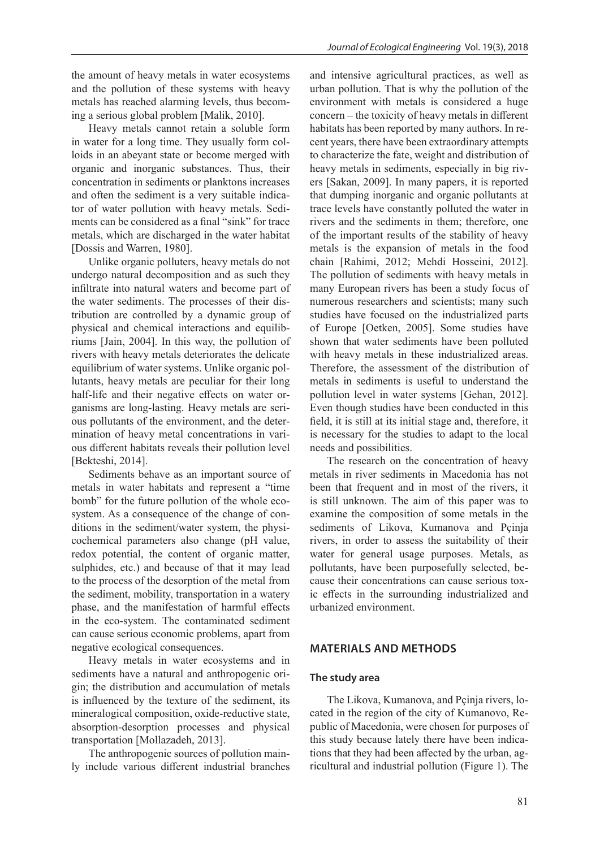the amount of heavy metals in water ecosystems and the pollution of these systems with heavy metals has reached alarming levels, thus becoming a serious global problem [Malik, 2010].

Heavy metals cannot retain a soluble form in water for a long time. They usually form colloids in an abeyant state or become merged with organic and inorganic substances. Thus, their concentration in sediments or planktons increases and often the sediment is a very suitable indicator of water pollution with heavy metals. Sediments can be considered as a final "sink" for trace metals, which are discharged in the water habitat [Dossis and Warren, 1980].

Unlike organic polluters, heavy metals do not undergo natural decomposition and as such they infiltrate into natural waters and become part of the water sediments. The processes of their distribution are controlled by a dynamic group of physical and chemical interactions and equilibriums [Jain, 2004]. In this way, the pollution of rivers with heavy metals deteriorates the delicate equilibrium of water systems. Unlike organic pollutants, heavy metals are peculiar for their long half-life and their negative effects on water organisms are long-lasting. Heavy metals are serious pollutants of the environment, and the determination of heavy metal concentrations in various different habitats reveals their pollution level [Bekteshi, 2014].

Sediments behave as an important source of metals in water habitats and represent a "time bomb" for the future pollution of the whole ecosystem. As a consequence of the change of conditions in the sediment/water system, the physicochemical parameters also change (pH value, redox potential, the content of organic matter, sulphides, etc.) and because of that it may lead to the process of the desorption of the metal from the sediment, mobility, transportation in a watery phase, and the manifestation of harmful effects in the eco-system. The contaminated sediment can cause serious economic problems, apart from negative ecological consequences.

Heavy metals in water ecosystems and in sediments have a natural and anthropogenic origin; the distribution and accumulation of metals is influenced by the texture of the sediment, its mineralogical composition, oxide-reductive state, absorption-desorption processes and physical transportation [Mollazadeh, 2013].

The anthropogenic sources of pollution mainly include various different industrial branches and intensive agricultural practices, as well as urban pollution. That is why the pollution of the environment with metals is considered a huge concern – the toxicity of heavy metals in different habitats has been reported by many authors. In recent years, there have been extraordinary attempts to characterize the fate, weight and distribution of heavy metals in sediments, especially in big rivers [Sakan, 2009]. In many papers, it is reported that dumping inorganic and organic pollutants at trace levels have constantly polluted the water in rivers and the sediments in them; therefore, one of the important results of the stability of heavy metals is the expansion of metals in the food chain [Rahimi, 2012; Mehdi Hosseini, 2012]. The pollution of sediments with heavy metals in many European rivers has been a study focus of numerous researchers and scientists; many such studies have focused on the industrialized parts of Europe [Oetken, 2005]. Some studies have shown that water sediments have been polluted with heavy metals in these industrialized areas. Therefore, the assessment of the distribution of metals in sediments is useful to understand the pollution level in water systems [Gehan, 2012]. Even though studies have been conducted in this field, it is still at its initial stage and, therefore, it is necessary for the studies to adapt to the local needs and possibilities.

The research on the concentration of heavy metals in river sediments in Macedonia has not been that frequent and in most of the rivers, it is still unknown. The aim of this paper was to examine the composition of some metals in the sediments of Likova, Kumanova and Pçinja rivers, in order to assess the suitability of their water for general usage purposes. Metals, as pollutants, have been purposefully selected, because their concentrations can cause serious toxic effects in the surrounding industrialized and urbanized environment.

# **MATERIALS AND METHODS**

#### **The study area**

The Likova, Kumanova, and Pçinja rivers, located in the region of the city of Kumanovo, Republic of Macedonia, were chosen for purposes of this study because lately there have been indications that they had been affected by the urban, agricultural and industrial pollution (Figure 1). The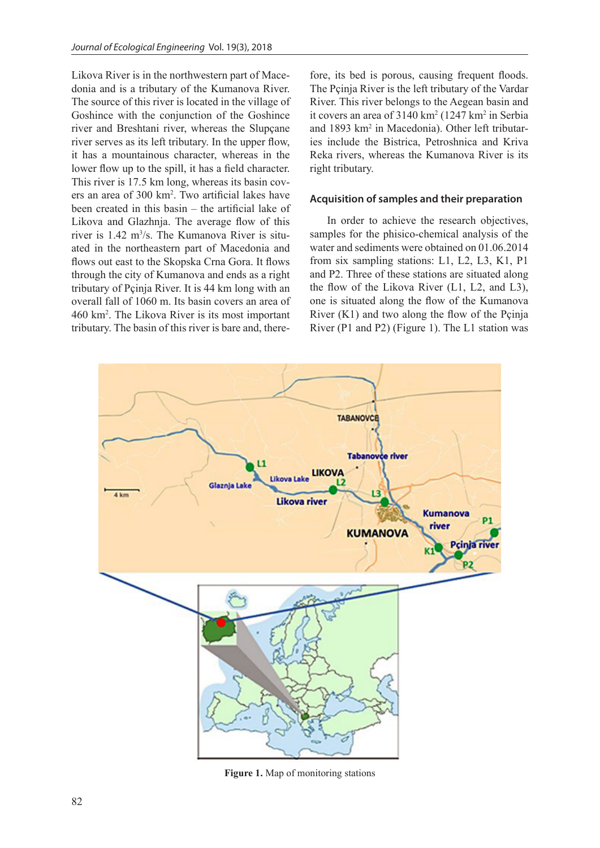Likova River is in the northwestern part of Macedonia and is a tributary of the Kumanova River. The source of this river is located in the village of Goshince with the conjunction of the Goshince river and Breshtani river, whereas the Slupçane river serves as its left tributary. In the upper flow, it has a mountainous character, whereas in the lower flow up to the spill, it has a field character. This river is 17.5 km long, whereas its basin covers an area of 300 km2 . Two artificial lakes have been created in this basin – the artificial lake of Likova and Glazhnja. The average flow of this river is 1.42 m<sup>3</sup>/s. The Kumanova River is situated in the northeastern part of Macedonia and flows out east to the Skopska Crna Gora. It flows through the city of Kumanova and ends as a right tributary of Pçinja River. It is 44 km long with an overall fall of 1060 m. Its basin covers an area of 460 km2 . The Likova River is its most important tributary. The basin of this river is bare and, therefore, its bed is porous, causing frequent floods. The Pçinja River is the left tributary of the Vardar River. This river belongs to the Aegean basin and it covers an area of  $3140 \text{ km}^2$  (1247 km<sup>2</sup> in Serbia and 1893 km<sup>2</sup> in Macedonia). Other left tributaries include the Bistrica, Petroshnica and Kriva Reka rivers, whereas the Kumanova River is its right tributary.

## **Acquisition of samples and their preparation**

In order to achieve the research objectives, samples for the phisico-chemical analysis of the water and sediments were obtained on 01.06.2014 from six sampling stations: L1, L2, L3, K1, P1 and P2. Three of these stations are situated along the flow of the Likova River (L1, L2, and L3), one is situated along the flow of the Kumanova River  $(K1)$  and two along the flow of the Pcinia River (P1 and P2) (Figure 1). The L1 station was



**Figure 1.** Map of monitoring stations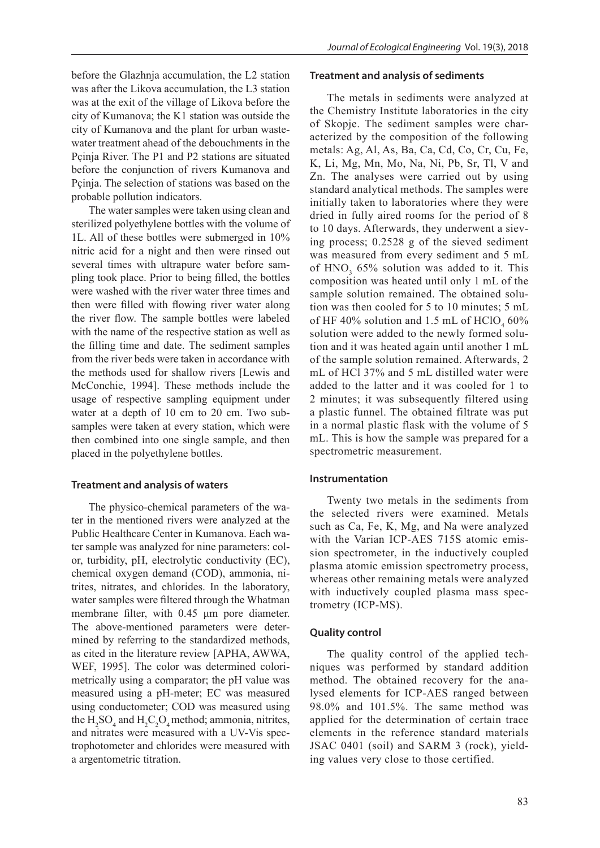before the Glazhnja accumulation, the L2 station was after the Likova accumulation, the L3 station was at the exit of the village of Likova before the city of Kumanova; the K1 station was outside the city of Kumanova and the plant for urban wastewater treatment ahead of the debouchments in the Pçinja River. The P1 and P2 stations are situated before the conjunction of rivers Kumanova and Pçinja. The selection of stations was based on the probable pollution indicators.

The water samples were taken using clean and sterilized polyethylene bottles with the volume of 1L. All of these bottles were submerged in 10% nitric acid for a night and then were rinsed out several times with ultrapure water before sampling took place. Prior to being filled, the bottles were washed with the river water three times and then were filled with flowing river water along the river flow. The sample bottles were labeled with the name of the respective station as well as the filling time and date. The sediment samples from the river beds were taken in accordance with the methods used for shallow rivers [Lewis and McConchie, 1994]. These methods include the usage of respective sampling equipment under water at a depth of 10 cm to 20 cm. Two subsamples were taken at every station, which were then combined into one single sample, and then placed in the polyethylene bottles.

# **Treatment and analysis of waters**

The physico-chemical parameters of the water in the mentioned rivers were analyzed at the Public Healthcare Center in Kumanova. Each water sample was analyzed for nine parameters: color, turbidity, pH, electrolytic conductivity (EC), chemical oxygen demand (COD), ammonia, nitrites, nitrates, and chlorides. In the laboratory, water samples were filtered through the Whatman membrane filter, with 0.45 μm pore diameter. The above-mentioned parameters were determined by referring to the standardized methods, as cited in the literature review [APHA, AWWA, WEF, 1995]. The color was determined colorimetrically using a comparator; the pH value was measured using a pH-meter; EC was measured using conductometer; COD was measured using the  $H_2SO_4$  and  $H_2C_2O_4$  method; ammonia, nitrites, and nitrates were measured with a UV-Vis spectrophotometer and chlorides were measured with a argentometric titration.

#### **Treatment and analysis of sediments**

The metals in sediments were analyzed at the Chemistry Institute laboratories in the city of Skopje. The sediment samples were characterized by the composition of the following metals: Ag, Al, As, Ba, Ca, Cd, Co, Cr, Cu, Fe, K, Li, Mg, Mn, Mo, Na, Ni, Pb, Sr, Tl, V and Zn. The analyses were carried out by using standard analytical methods. The samples were initially taken to laboratories where they were dried in fully aired rooms for the period of 8 to 10 days. Afterwards, they underwent a sieving process; 0.2528 g of the sieved sediment was measured from every sediment and 5 mL of  $HNO<sub>3</sub>$  65% solution was added to it. This composition was heated until only 1 mL of the sample solution remained. The obtained solution was then cooled for 5 to 10 minutes; 5 mL of HF 40% solution and 1.5 mL of  $HClO<sub>4</sub>$  60% solution were added to the newly formed solution and it was heated again until another 1 mL of the sample solution remained. Afterwards, 2 mL of HCl 37% and 5 mL distilled water were added to the latter and it was cooled for 1 to 2 minutes; it was subsequently filtered using a plastic funnel. The obtained filtrate was put in a normal plastic flask with the volume of 5 mL. This is how the sample was prepared for a spectrometric measurement.

## **Instrumentation**

Twenty two metals in the sediments from the selected rivers were examined. Metals such as Ca, Fe, K, Mg, and Na were analyzed with the Varian ICP-AES 715S atomic emission spectrometer, in the inductively coupled plasma atomic emission spectrometry process, whereas other remaining metals were analyzed with inductively coupled plasma mass spectrometry (ICP-MS).

## **Quality control**

The quality control of the applied techniques was performed by standard addition method. The obtained recovery for the analysed elements for ICP-AES ranged between 98.0% and 101.5%. The same method was applied for the determination of certain trace elements in the reference standard materials JSAC 0401 (soil) and SARM 3 (rock), yielding values very close to those certified.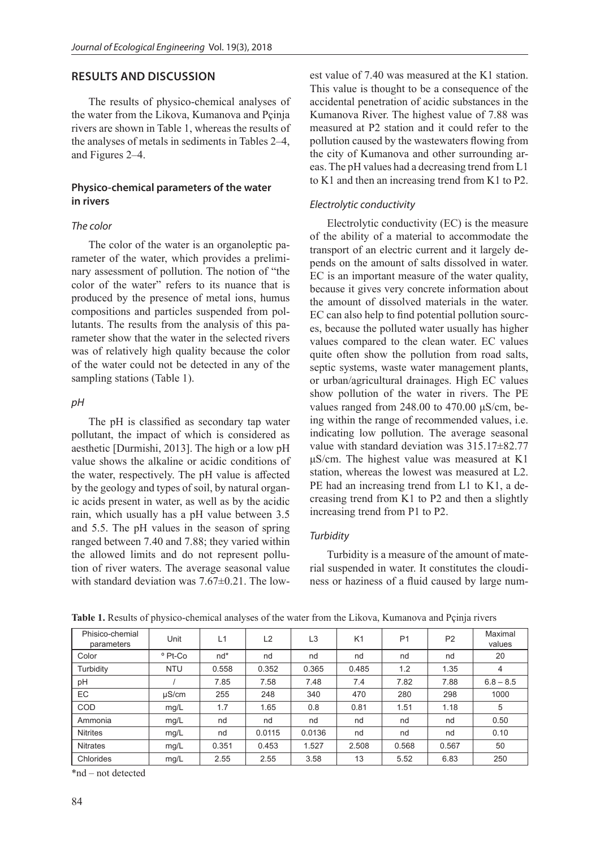# **RESULTS AND DISCUSSION**

The results of physico-chemical analyses of the water from the Likova, Kumanova and Pçinja rivers are shown in Table 1, whereas the results of the analyses of metals in sediments in Tables 2–4, and Figures 2–4.

# **Physico-chemical parameters of the water in rivers**

## *The color*

The color of the water is an organoleptic parameter of the water, which provides a preliminary assessment of pollution. The notion of "the color of the water" refers to its nuance that is produced by the presence of metal ions, humus compositions and particles suspended from pollutants. The results from the analysis of this parameter show that the water in the selected rivers was of relatively high quality because the color of the water could not be detected in any of the sampling stations (Table 1).

# *pH*

The pH is classified as secondary tap water pollutant, the impact of which is considered as aesthetic [Durmishi, 2013]. The high or a low pH value shows the alkaline or acidic conditions of the water, respectively. The pH value is affected by the geology and types of soil, by natural organic acids present in water, as well as by the acidic rain, which usually has a pH value between 3.5 and 5.5. The pH values in the season of spring ranged between 7.40 and 7.88; they varied within the allowed limits and do not represent pollution of river waters. The average seasonal value with standard deviation was  $7.67\pm0.21$ . The lowest value of 7.40 was measured at the K1 station. This value is thought to be a consequence of the accidental penetration of acidic substances in the Kumanova River. The highest value of 7.88 was measured at P2 station and it could refer to the pollution caused by the wastewaters flowing from the city of Kumanova and other surrounding areas. The pH values had a decreasing trend from L1 to K1 and then an increasing trend from K1 to P2.

# *Electrolytic conductivity*

Electrolytic conductivity (EC) is the measure of the ability of a material to accommodate the transport of an electric current and it largely depends on the amount of salts dissolved in water. EC is an important measure of the water quality, because it gives very concrete information about the amount of dissolved materials in the water. EC can also help to find potential pollution sources, because the polluted water usually has higher values compared to the clean water. EC values quite often show the pollution from road salts, septic systems, waste water management plants, or urban/agricultural drainages. High EC values show pollution of the water in rivers. The PE values ranged from 248.00 to 470.00 μS/cm, being within the range of recommended values, i.e. indicating low pollution. The average seasonal value with standard deviation was 315.17±82.77 μS/cm. The highest value was measured at K1 station, whereas the lowest was measured at L2. PE had an increasing trend from L1 to K1, a decreasing trend from K1 to P2 and then a slightly increasing trend from P1 to P2.

#### *Turbidity*

Turbidity is a measure of the amount of material suspended in water. It constitutes the cloudiness or haziness of a fluid caused by large num-

| Phisico-chemial<br>parameters | Unit               | L1    | L2     | L <sub>3</sub> | K1    | P <sub>1</sub> | P <sub>2</sub> | Maximal<br>values |
|-------------------------------|--------------------|-------|--------|----------------|-------|----------------|----------------|-------------------|
| Color                         | <sup>o</sup> Pt-Co | $nd*$ | nd     | nd             | nd    | nd             | nd             | 20                |
| Turbidity                     | <b>NTU</b>         | 0.558 | 0.352  | 0.365          | 0.485 | 1.2            | 1.35           | 4                 |
| pH                            |                    | 7.85  | 7.58   | 7.48           | 7.4   | 7.82           | 7.88           | $6.8 - 8.5$       |
| EC                            | $\mu$ S/cm         | 255   | 248    | 340            | 470   | 280            | 298            | 1000              |
| COD                           | mg/L               | 1.7   | 1.65   | 0.8            | 0.81  | 1.51           | 1.18           | 5                 |
| Ammonia                       | mq/L               | nd    | nd     | nd             | nd    | nd             | nd             | 0.50              |
| <b>Nitrites</b>               | mg/L               | nd    | 0.0115 | 0.0136         | nd    | nd             | nd             | 0.10              |
| <b>Nitrates</b>               | mq/L               | 0.351 | 0.453  | 1.527          | 2.508 | 0.568          | 0.567          | 50                |
| Chlorides                     | mg/L               | 2.55  | 2.55   | 3.58           | 13    | 5.52           | 6.83           | 250               |

**Table 1.** Results of physico-chemical analyses of the water from the Likova, Kumanova and Pçinja rivers

\*nd – not detected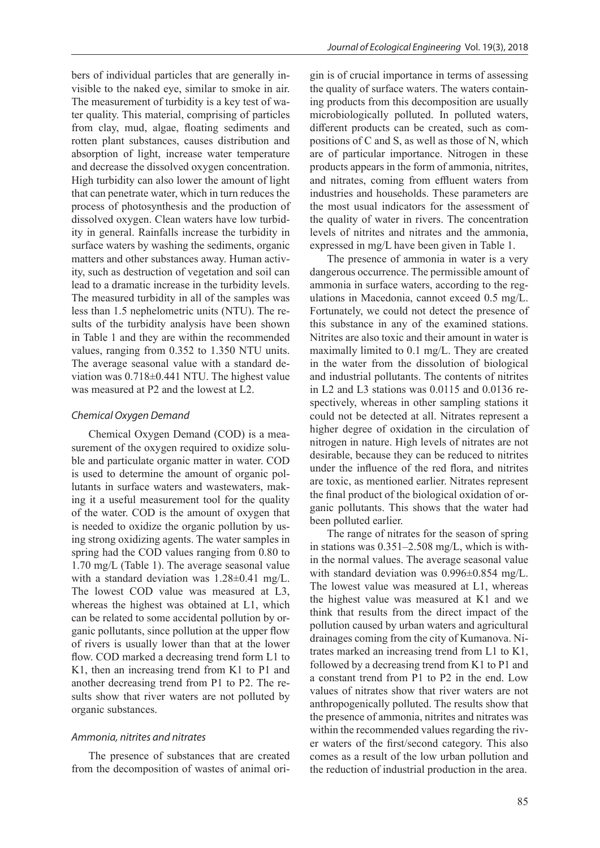bers of individual particles that are generally invisible to the naked eye, similar to smoke in air. The measurement of turbidity is a key test of water quality. This material, comprising of particles from clay, mud, algae, floating sediments and rotten plant substances, causes distribution and absorption of light, increase water temperature and decrease the dissolved oxygen concentration. High turbidity can also lower the amount of light that can penetrate water, which in turn reduces the process of photosynthesis and the production of dissolved oxygen. Clean waters have low turbidity in general. Rainfalls increase the turbidity in surface waters by washing the sediments, organic matters and other substances away. Human activity, such as destruction of vegetation and soil can lead to a dramatic increase in the turbidity levels. The measured turbidity in all of the samples was less than 1.5 nephelometric units (NTU). The results of the turbidity analysis have been shown in Table 1 and they are within the recommended values, ranging from 0.352 to 1.350 NTU units. The average seasonal value with a standard deviation was 0.718±0.441 NTU. The highest value was measured at P2 and the lowest at L2.

#### *Chemical Oxygen Demand*

Chemical Oxygen Demand (COD) is a measurement of the oxygen required to oxidize soluble and particulate organic matter in water. COD is used to determine the amount of organic pollutants in surface waters and wastewaters, making it a useful measurement tool for the quality of the water. COD is the amount of oxygen that is needed to oxidize the organic pollution by using strong oxidizing agents. The water samples in spring had the COD values ranging from 0.80 to 1.70 mg/L (Table 1). The average seasonal value with a standard deviation was  $1.28\pm0.41$  mg/L. The lowest COD value was measured at L3, whereas the highest was obtained at L1, which can be related to some accidental pollution by organic pollutants, since pollution at the upper flow of rivers is usually lower than that at the lower flow. COD marked a decreasing trend form L1 to K1, then an increasing trend from K1 to P1 and another decreasing trend from P1 to P2. The results show that river waters are not polluted by organic substances.

#### *Ammonia, nitrites and nitrates*

The presence of substances that are created from the decomposition of wastes of animal origin is of crucial importance in terms of assessing the quality of surface waters. The waters containing products from this decomposition are usually microbiologically polluted. In polluted waters, different products can be created, such as compositions of C and S, as well as those of N, which are of particular importance. Nitrogen in these products appears in the form of ammonia, nitrites, and nitrates, coming from effluent waters from industries and households. These parameters are the most usual indicators for the assessment of the quality of water in rivers. The concentration levels of nitrites and nitrates and the ammonia, expressed in mg/L have been given in Table 1.

The presence of ammonia in water is a very dangerous occurrence. The permissible amount of ammonia in surface waters, according to the regulations in Macedonia, cannot exceed 0.5 mg/L. Fortunately, we could not detect the presence of this substance in any of the examined stations. Nitrites are also toxic and their amount in water is maximally limited to 0.1 mg/L. They are created in the water from the dissolution of biological and industrial pollutants. The contents of nitrites in L2 and L3 stations was 0.0115 and 0.0136 respectively, whereas in other sampling stations it could not be detected at all. Nitrates represent a higher degree of oxidation in the circulation of nitrogen in nature. High levels of nitrates are not desirable, because they can be reduced to nitrites under the influence of the red flora, and nitrites are toxic, as mentioned earlier. Nitrates represent the final product of the biological oxidation of organic pollutants. This shows that the water had been polluted earlier.

The range of nitrates for the season of spring in stations was 0.351–2.508 mg/L, which is within the normal values. The average seasonal value with standard deviation was  $0.996\pm0.854$  mg/L. The lowest value was measured at L1, whereas the highest value was measured at K1 and we think that results from the direct impact of the pollution caused by urban waters and agricultural drainages coming from the city of Kumanova. Nitrates marked an increasing trend from L1 to K1, followed by a decreasing trend from K1 to P1 and a constant trend from P1 to P2 in the end. Low values of nitrates show that river waters are not anthropogenically polluted. The results show that the presence of ammonia, nitrites and nitrates was within the recommended values regarding the river waters of the first/second category. This also comes as a result of the low urban pollution and the reduction of industrial production in the area.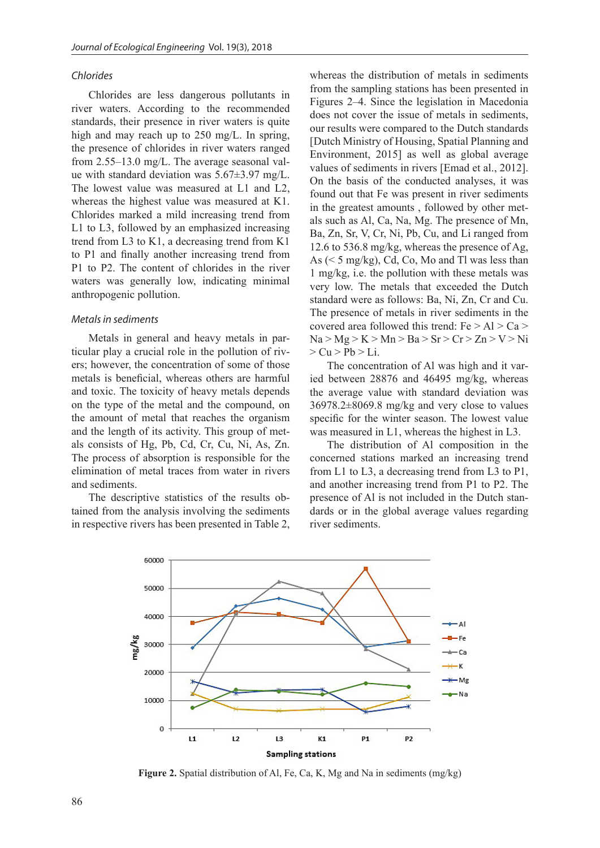## *Chlorides*

Chlorides are less dangerous pollutants in river waters. According to the recommended standards, their presence in river waters is quite high and may reach up to 250 mg/L. In spring, the presence of chlorides in river waters ranged from 2.55–13.0 mg/L. The average seasonal value with standard deviation was 5.67±3.97 mg/L. The lowest value was measured at L1 and L2, whereas the highest value was measured at K1. Chlorides marked a mild increasing trend from L1 to L3, followed by an emphasized increasing trend from L3 to K1, a decreasing trend from K1 to P1 and finally another increasing trend from P1 to P2. The content of chlorides in the river waters was generally low, indicating minimal anthropogenic pollution.

#### *Metals in sediments*

Metals in general and heavy metals in particular play a crucial role in the pollution of rivers; however, the concentration of some of those metals is beneficial, whereas others are harmful and toxic. The toxicity of heavy metals depends on the type of the metal and the compound, on the amount of metal that reaches the organism and the length of its activity. This group of metals consists of Hg, Pb, Cd, Cr, Cu, Ni, As, Zn. The process of absorption is responsible for the elimination of metal traces from water in rivers and sediments.

The descriptive statistics of the results obtained from the analysis involving the sediments in respective rivers has been presented in Table 2, whereas the distribution of metals in sediments from the sampling stations has been presented in Figures 2–4. Since the legislation in Macedonia does not cover the issue of metals in sediments, our results were compared to the Dutch standards [Dutch Ministry of Housing, Spatial Planning and Environment, 2015] as well as global average values of sediments in rivers [Emad et al., 2012]. On the basis of the conducted analyses, it was found out that Fe was present in river sediments in the greatest amounts , followed by other metals such as Al, Ca, Na, Mg. The presence of Mn, Ba, Zn, Sr, V, Cr, Ni, Pb, Cu, and Li ranged from 12.6 to 536.8 mg/kg, whereas the presence of Ag, As  $(< 5 \text{ mg/kg})$ , Cd, Co, Mo and Tl was less than 1 mg/kg, i.e. the pollution with these metals was very low. The metals that exceeded the Dutch standard were as follows: Ba, Ni, Zn, Cr and Cu. The presence of metals in river sediments in the covered area followed this trend:  $Fe > Al > Ca >$  $Na > Mg > K > Mn > Ba > Sr > Cr > Zn > V > Ni$  $> Cu > Pb > Li$ .

The concentration of Al was high and it varied between 28876 and 46495 mg/kg, whereas the average value with standard deviation was 36978.2±8069.8 mg/kg and very close to values specific for the winter season. The lowest value was measured in L1, whereas the highest in L3.

The distribution of Al composition in the concerned stations marked an increasing trend from L1 to L3, a decreasing trend from L3 to P1, and another increasing trend from P1 to P2. The presence of Al is not included in the Dutch standards or in the global average values regarding river sediments.



**Figure 2.** Spatial distribution of Al, Fe, Ca, K, Mg and Na in sediments (mg/kg)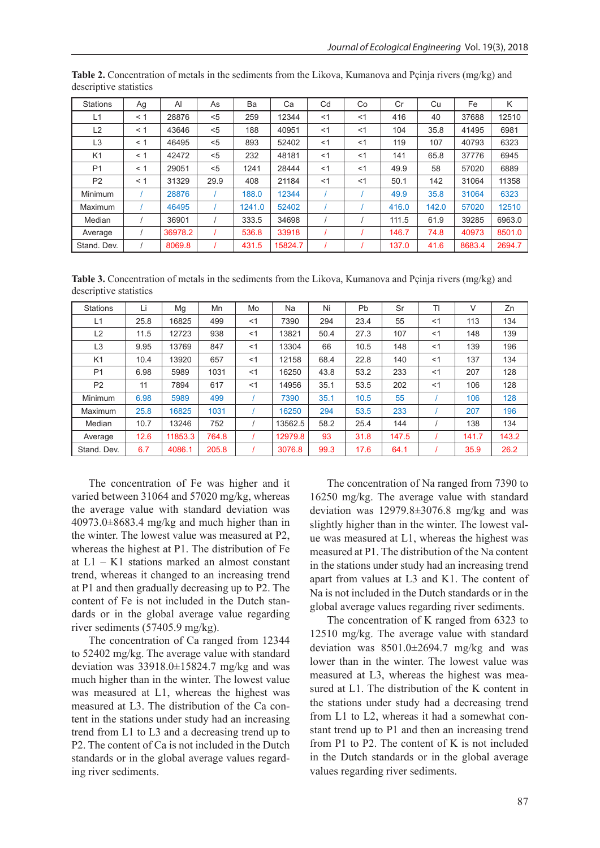| <b>Stations</b> | Ag       | Al      | As   | Ba     | Ca      | Cd  | Co    | Cr    | Cu    | Fe     | K      |
|-----------------|----------|---------|------|--------|---------|-----|-------|-------|-------|--------|--------|
| L1              | $\leq 1$ | 28876   | < 5  | 259    | 12344   | < 1 | $<$ 1 | 416   | 40    | 37688  | 12510  |
| L <sub>2</sub>  | < 1      | 43646   | < 5  | 188    | 40951   | <1  | $<$ 1 | 104   | 35.8  | 41495  | 6981   |
| L <sub>3</sub>  | < 1      | 46495   | $5$  | 893    | 52402   | <1  | $<$ 1 | 119   | 107   | 40793  | 6323   |
| K <sub>1</sub>  | < 1      | 42472   | < 5  | 232    | 48181   | < 1 | $<$ 1 | 141   | 65.8  | 37776  | 6945   |
| P <sub>1</sub>  | < 1      | 29051   | < 5  | 1241   | 28444   | <1  | $<$ 1 | 49.9  | 58    | 57020  | 6889   |
| P <sub>2</sub>  | $\leq 1$ | 31329   | 29.9 | 408    | 21184   | < 1 | $<$ 1 | 50.1  | 142   | 31064  | 11358  |
| Minimum         |          | 28876   |      | 188.0  | 12344   |     |       | 49.9  | 35.8  | 31064  | 6323   |
| Maximum         |          | 46495   |      | 1241.0 | 52402   |     |       | 416.0 | 142.0 | 57020  | 12510  |
| Median          |          | 36901   |      | 333.5  | 34698   |     |       | 111.5 | 61.9  | 39285  | 6963.0 |
| Average         |          | 36978.2 |      | 536.8  | 33918   |     |       | 146.7 | 74.8  | 40973  | 8501.0 |
| Stand, Dev.     |          | 8069.8  |      | 431.5  | 15824.7 |     |       | 137.0 | 41.6  | 8683.4 | 2694.7 |

**Table 2.** Concentration of metals in the sediments from the Likova, Kumanova and Pçinja rivers (mg/kg) and descriptive statistics

**Table 3.** Concentration of metals in the sediments from the Likova, Kumanova and Pçinja rivers (mg/kg) and descriptive statistics

| <b>Stations</b> | Li   | Mg      | Mn    | Mo    | Na      | Ni   | Pb   | Sr    | TI    | V     | Zn    |
|-----------------|------|---------|-------|-------|---------|------|------|-------|-------|-------|-------|
| L1              | 25.8 | 16825   | 499   | <1    | 7390    | 294  | 23.4 | 55    | $<$ 1 | 113   | 134   |
| L2              | 11.5 | 12723   | 938   | <1    | 13821   | 50.4 | 27.3 | 107   | $<$ 1 | 148   | 139   |
| L <sub>3</sub>  | 9.95 | 13769   | 847   | $<$ 1 | 13304   | 66   | 10.5 | 148   | $<$ 1 | 139   | 196   |
| K <sub>1</sub>  | 10.4 | 13920   | 657   | $<$ 1 | 12158   | 68.4 | 22.8 | 140   | $<$ 1 | 137   | 134   |
| P <sub>1</sub>  | 6.98 | 5989    | 1031  | $<$ 1 | 16250   | 43.8 | 53.2 | 233   | $<$ 1 | 207   | 128   |
| P <sub>2</sub>  | 11   | 7894    | 617   | $<$ 1 | 14956   | 35.1 | 53.5 | 202   | $<$ 1 | 106   | 128   |
| Minimum         | 6.98 | 5989    | 499   |       | 7390    | 35.1 | 10.5 | 55    |       | 106   | 128   |
| Maximum         | 25.8 | 16825   | 1031  |       | 16250   | 294  | 53.5 | 233   |       | 207   | 196   |
| Median          | 10.7 | 13246   | 752   |       | 13562.5 | 58.2 | 25.4 | 144   |       | 138   | 134   |
| Average         | 12.6 | 11853.3 | 764.8 |       | 12979.8 | 93   | 31.8 | 147.5 |       | 141.7 | 143.2 |
| Stand, Dev.     | 6.7  | 4086.1  | 205.8 |       | 3076.8  | 99.3 | 17.6 | 64.1  |       | 35.9  | 26.2  |

The concentration of Fe was higher and it varied between 31064 and 57020 mg/kg, whereas the average value with standard deviation was 40973.0±8683.4 mg/kg and much higher than in the winter. The lowest value was measured at P2, whereas the highest at P1. The distribution of Fe at L1 – K1 stations marked an almost constant trend, whereas it changed to an increasing trend at P1 and then gradually decreasing up to P2. The content of Fe is not included in the Dutch standards or in the global average value regarding river sediments (57405.9 mg/kg).

The concentration of Ca ranged from 12344 to 52402 mg/kg. The average value with standard deviation was 33918.0±15824.7 mg/kg and was much higher than in the winter. The lowest value was measured at L1, whereas the highest was measured at L3. The distribution of the Ca content in the stations under study had an increasing trend from L1 to L3 and a decreasing trend up to P2. The content of Ca is not included in the Dutch standards or in the global average values regarding river sediments.

The concentration of Na ranged from 7390 to 16250 mg/kg. The average value with standard deviation was 12979.8±3076.8 mg/kg and was slightly higher than in the winter. The lowest value was measured at L1, whereas the highest was measured at P1. The distribution of the Na content in the stations under study had an increasing trend apart from values at L3 and K1. The content of Na is not included in the Dutch standards or in the global average values regarding river sediments.

The concentration of K ranged from 6323 to 12510 mg/kg. The average value with standard deviation was 8501.0±2694.7 mg/kg and was lower than in the winter. The lowest value was measured at L3, whereas the highest was measured at L1. The distribution of the K content in the stations under study had a decreasing trend from L1 to L2, whereas it had a somewhat constant trend up to P1 and then an increasing trend from P1 to P2. The content of K is not included in the Dutch standards or in the global average values regarding river sediments.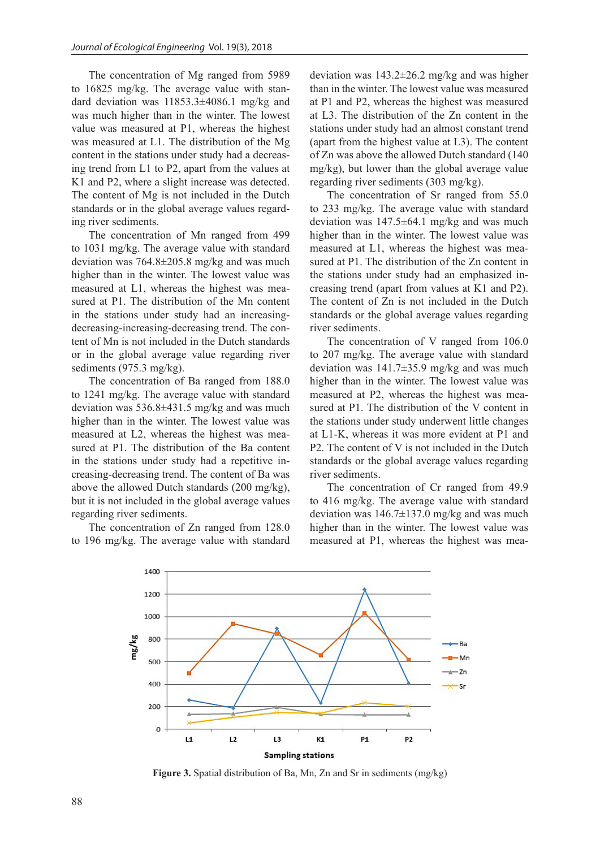The concentration of Mg ranged from 5989 to 16825 mg/kg. The average value with standard deviation was 11853.3±4086.1 mg/kg and was much higher than in the winter. The lowest value was measured at P1, whereas the highest was measured at L1. The distribution of the Mg content in the stations under study had a decreasing trend from L1 to P2, apart from the values at K1 and P2, where a slight increase was detected. The content of Mg is not included in the Dutch standards or in the global average values regarding river sediments.

The concentration of Mn ranged from 499 to 1031 mg/kg. The average value with standard deviation was 764.8±205.8 mg/kg and was much higher than in the winter. The lowest value was measured at L1, whereas the highest was measured at P1. The distribution of the Mn content in the stations under study had an increasingdecreasing-increasing-decreasing trend. The content of Mn is not included in the Dutch standards or in the global average value regarding river sediments (975.3 mg/kg).

The concentration of Ba ranged from 188.0 to 1241 mg/kg. The average value with standard deviation was 536.8±431.5 mg/kg and was much higher than in the winter. The lowest value was measured at L2, whereas the highest was measured at P1. The distribution of the Ba content in the stations under study had a repetitive increasing-decreasing trend. The content of Ba was above the allowed Dutch standards (200 mg/kg), but it is not included in the global average values regarding river sediments.

The concentration of Zn ranged from 128.0 to 196 mg/kg. The average value with standard deviation was 143.2±26.2 mg/kg and was higher than in the winter. The lowest value was measured at P1 and P2, whereas the highest was measured at L3. The distribution of the Zn content in the stations under study had an almost constant trend (apart from the highest value at L3). The content of Zn was above the allowed Dutch standard (140 mg/kg), but lower than the global average value regarding river sediments (303 mg/kg).

The concentration of Sr ranged from 55.0 to 233 mg/kg. The average value with standard deviation was 147.5±64.1 mg/kg and was much higher than in the winter. The lowest value was measured at L1, whereas the highest was measured at P1. The distribution of the Zn content in the stations under study had an emphasized increasing trend (apart from values at K1 and P2). The content of Zn is not included in the Dutch standards or the global average values regarding river sediments.

The concentration of V ranged from 106.0 to 207 mg/kg. The average value with standard deviation was 141.7±35.9 mg/kg and was much higher than in the winter. The lowest value was measured at P2, whereas the highest was measured at P1. The distribution of the V content in the stations under study underwent little changes at L1-K, whereas it was more evident at P1 and P2. The content of V is not included in the Dutch standards or the global average values regarding river sediments.

The concentration of Cr ranged from 49.9 to 416 mg/kg. The average value with standard deviation was  $146.7\pm137.0$  mg/kg and was much higher than in the winter. The lowest value was measured at P1, whereas the highest was mea-



**Figure 3.** Spatial distribution of Ba, Mn, Zn and Sr in sediments (mg/kg)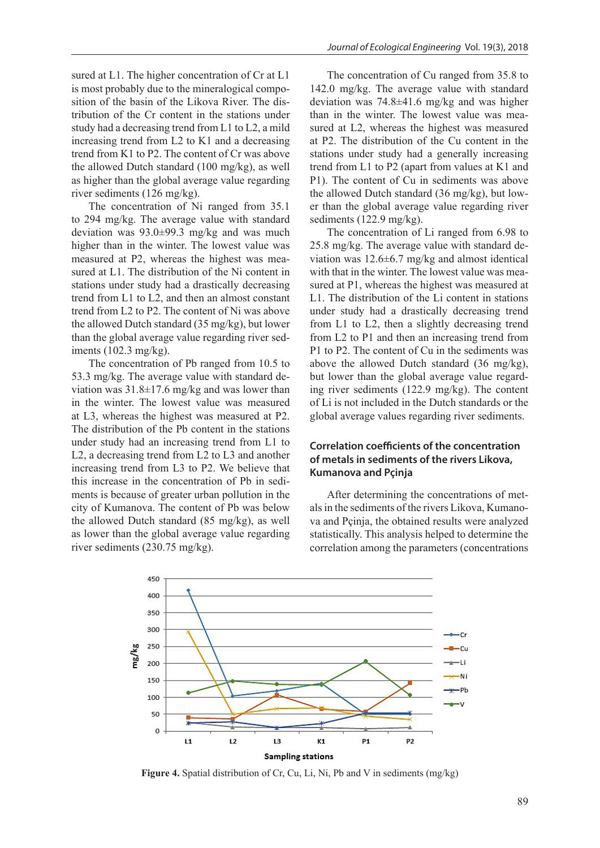sured at L1. The higher concentration of Cr at L1 is most probably due to the mineralogical composition of the basin of the Likova River. The distribution of the Cr content in the stations under study had a decreasing trend from L1 to L2, a mild increasing trend from L2 to K1 and a decreasing trend from K1 to P2. The content of Cr was above the allowed Dutch standard (100 mg/kg), as well as higher than the global average value regarding river sediments (126 mg/kg).

The concentration of Ni ranged from 35.1 to 294 mg/kg. The average value with standard deviation was 93.0±99.3 mg/kg and was much higher than in the winter. The lowest value was measured at P2, whereas the highest was measured at L1. The distribution of the Ni content in stations under study had a drastically decreasing trend from L1 to L2, and then an almost constant trend from L2 to P2. The content of Ni was above the allowed Dutch standard (35 mg/kg), but lower than the global average value regarding river sediments (102.3 mg/kg).

The concentration of Pb ranged from 10.5 to 53.3 mg/kg. The average value with standard deviation was 31.8±17.6 mg/kg and was lower than in the winter. The lowest value was measured at L3, whereas the highest was measured at P2. The distribution of the Pb content in the stations under study had an increasing trend from L1 to L2, a decreasing trend from L2 to L3 and another increasing trend from L3 to P2. We believe that this increase in the concentration of Pb in sediments is because of greater urban pollution in the city of Kumanova. The content of Pb was below the allowed Dutch standard (85 mg/kg), as well as lower than the global average value regarding river sediments (230.75 mg/kg).

The concentration of Cu ranged from 35.8 to 142.0 mg/kg. The average value with standard deviation was 74.8±41.6 mg/kg and was higher than in the winter. The lowest value was measured at L2, whereas the highest was measured at P2. The distribution of the Cu content in the stations under study had a generally increasing trend from L1 to P2 (apart from values at K1 and P1). The content of Cu in sediments was above the allowed Dutch standard (36 mg/kg), but lower than the global average value regarding river sediments (122.9 mg/kg).

The concentration of Li ranged from 6.98 to 25.8 mg/kg. The average value with standard deviation was 12.6±6.7 mg/kg and almost identical with that in the winter. The lowest value was measured at P1, whereas the highest was measured at L1. The distribution of the Li content in stations under study had a drastically decreasing trend from L1 to L2, then a slightly decreasing trend from L2 to P1 and then an increasing trend from P1 to P2. The content of Cu in the sediments was above the allowed Dutch standard (36 mg/kg), but lower than the global average value regarding river sediments (122.9 mg/kg). The content of Li is not included in the Dutch standards or the global average values regarding river sediments.

# **Correlation coefficients of the concentration of metals in sediments of the rivers Likova, Kumanova and Pçinja**

After determining the concentrations of metals in the sediments of the rivers Likova, Kumanova and Pçinja, the obtained results were analyzed statistically. This analysis helped to determine the correlation among the parameters (concentrations



**Figure 4.** Spatial distribution of Cr, Cu, Li, Ni, Pb and V in sediments (mg/kg)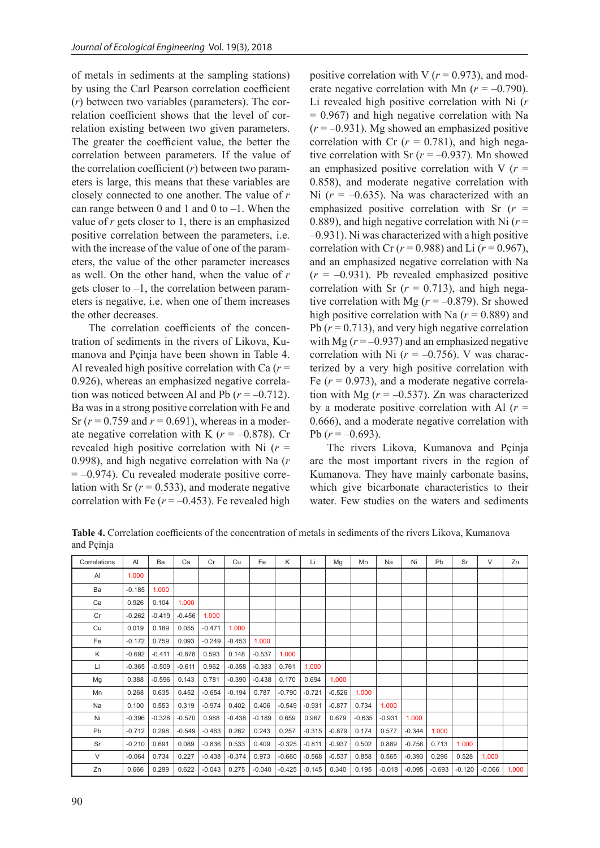of metals in sediments at the sampling stations) by using the Carl Pearson correlation coefficient (*r*) between two variables (parameters). The correlation coefficient shows that the level of correlation existing between two given parameters. The greater the coefficient value, the better the correlation between parameters. If the value of the correlation coefficient (*r*) between two parameters is large, this means that these variables are closely connected to one another. The value of *r* can range between 0 and 1 and 0 to  $-1$ . When the value of *r* gets closer to 1, there is an emphasized positive correlation between the parameters, i.e. with the increase of the value of one of the parameters, the value of the other parameter increases as well. On the other hand, when the value of *r*  gets closer to –1, the correlation between parameters is negative, i.e. when one of them increases the other decreases.

The correlation coefficients of the concentration of sediments in the rivers of Likova, Kumanova and Pçinja have been shown in Table 4. Al revealed high positive correlation with Ca  $(r =$ 0.926), whereas an emphasized negative correlation was noticed between Al and Pb  $(r = -0.712)$ . Ba was in a strong positive correlation with Fe and Sr  $(r = 0.759$  and  $r = 0.691$ ), whereas in a moderate negative correlation with K  $(r = -0.878)$ . Cr revealed high positive correlation with Ni  $(r =$ 0.998), and high negative correlation with Na (*r*  $= -0.974$ ). Cu revealed moderate positive correlation with Sr  $(r = 0.533)$ , and moderate negative correlation with Fe  $(r = -0.453)$ . Fe revealed high

positive correlation with V  $(r = 0.973)$ , and moderate negative correlation with Mn  $(r = -0.790)$ . Li revealed high positive correlation with Ni (*r* = 0.967) and high negative correlation with Na  $(r = -0.931)$ . Mg showed an emphasized positive correlation with Cr  $(r = 0.781)$ , and high negative correlation with Sr  $(r = -0.937)$ . Mn showed an emphasized positive correlation with V  $(r =$ 0.858), and moderate negative correlation with Ni  $(r = -0.635)$ . Na was characterized with an emphasized positive correlation with Sr (*r* = 0.889), and high negative correlation with Ni  $(r =$ –0.931). Ni was characterized with a high positive correlation with Cr  $(r = 0.988)$  and Li  $(r = 0.967)$ , and an emphasized negative correlation with Na  $(r = -0.931)$ . Pb revealed emphasized positive correlation with Sr  $(r = 0.713)$ , and high negative correlation with Mg ( $r = -0.879$ ). Sr showed high positive correlation with Na  $(r = 0.889)$  and Pb  $(r = 0.713)$ , and very high negative correlation with Mg  $(r = -0.937)$  and an emphasized negative correlation with Ni  $(r = -0.756)$ . V was characterized by a very high positive correlation with Fe  $(r = 0.973)$ , and a moderate negative correlation with Mg  $(r = -0.537)$ . Zn was characterized by a moderate positive correlation with Al  $(r =$ 0.666), and a moderate negative correlation with Pb  $(r = -0.693)$ .

The rivers Likova, Kumanova and Pçinja are the most important rivers in the region of Kumanova. They have mainly carbonate basins, which give bicarbonate characteristics to their water. Few studies on the waters and sediments

**Table 4.** Correlation coefficients of the concentration of metals in sediments of the rivers Likova, Kumanova and Pçinja

| Correlations | AI       | Ba       | Ca       | Cr       | Cu       | Fe       | K                 | Li       | Mg       | Mn       | Na       | Ni       | <b>Pb</b> | Sr       | V        | Zn    |
|--------------|----------|----------|----------|----------|----------|----------|-------------------|----------|----------|----------|----------|----------|-----------|----------|----------|-------|
| AI           | 1.000    |          |          |          |          |          |                   |          |          |          |          |          |           |          |          |       |
| Ba           | $-0.185$ | 1.000    |          |          |          |          |                   |          |          |          |          |          |           |          |          |       |
| Ca           | 0.926    | 0.104    | 1.000    |          |          |          |                   |          |          |          |          |          |           |          |          |       |
| Cr           | $-0.262$ | $-0.419$ | $-0.456$ | 1.000    |          |          |                   |          |          |          |          |          |           |          |          |       |
| Cu           | 0.019    | 0.189    | 0.055    | $-0.471$ | 1.000    |          |                   |          |          |          |          |          |           |          |          |       |
| Fe           | $-0.172$ | 0.759    | 0.093    | $-0.249$ | $-0.453$ | 1.000    |                   |          |          |          |          |          |           |          |          |       |
| Κ            | $-0.692$ | $-0.411$ | $-0.878$ | 0.593    | 0.148    | $-0.537$ | 1.000             |          |          |          |          |          |           |          |          |       |
| Li           | $-0.365$ | $-0.509$ | $-0.611$ | 0.962    | $-0.358$ | $-0.383$ | 0.761             | 1.000    |          |          |          |          |           |          |          |       |
| Mg           | 0.388    | $-0.596$ | 0.143    | 0.781    | $-0.390$ | $-0.438$ | 0.170             | 0.694    | 1.000    |          |          |          |           |          |          |       |
| Mn           | 0.268    | 0.635    | 0.452    | $-0.654$ | $-0.194$ | 0.787    | $-0.790$          | $-0.721$ | $-0.526$ | 1.000    |          |          |           |          |          |       |
| Na           | 0.100    | 0.553    | 0.319    | $-0.974$ | 0.402    | 0.406    | $-0.549$          | $-0.931$ | $-0.877$ | 0.734    | 1.000    |          |           |          |          |       |
| Ni           | $-0.396$ | $-0.328$ | $-0.570$ | 0.988    | $-0.438$ | $-0.189$ | 0.659             | 0.967    | 0.679    | $-0.635$ | $-0.931$ | 1.000    |           |          |          |       |
| Pb           | $-0.712$ | 0.298    | $-0.549$ | $-0.463$ | 0.262    | 0.243    | 0.257             | $-0.315$ | $-0.879$ | 0.174    | 0.577    | $-0.344$ | 1.000     |          |          |       |
| Sr           | $-0.210$ | 0.691    | 0.089    | $-0.836$ | 0.533    | 0.409    | $-0.325$          | $-0.811$ | $-0.937$ | 0.502    | 0.889    | $-0.756$ | 0.713     | 1.000    |          |       |
| V            | $-0.064$ | 0.734    | 0.227    | $-0.438$ | $-0.374$ | 0.973    | $-0.660$          | $-0.568$ | $-0.537$ | 0.858    | 0.565    | $-0.393$ | 0.296     | 0.528    | 1.000    |       |
| Zn           | 0.666    | 0.299    | 0.622    | $-0.043$ | 0.275    |          | $-0.040$ $-0.425$ | $-0.145$ | 0.340    | 0.195    | $-0.018$ | $-0.095$ | $-0.693$  | $-0.120$ | $-0.066$ | 1.000 |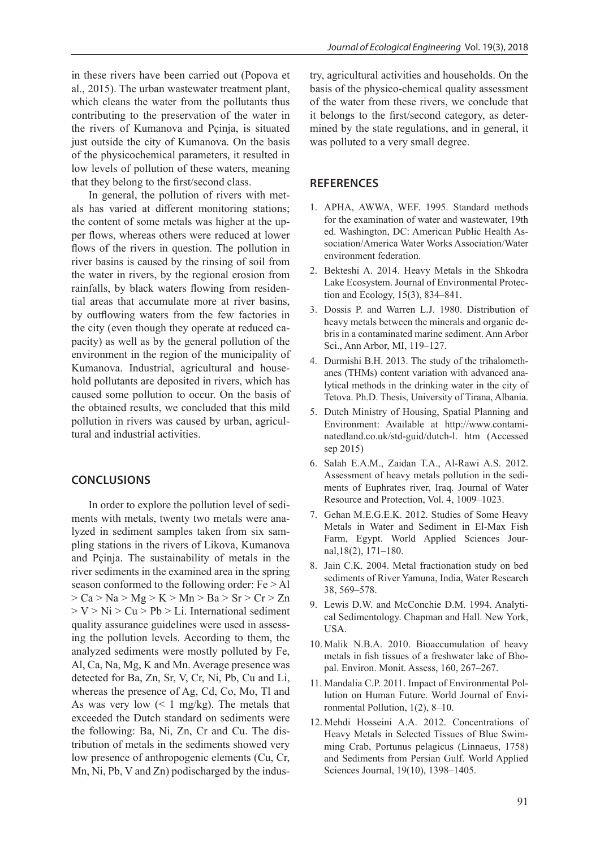contributing to the preservation of the water in the rivers of Kumanova and Pçinja, is situated just outside the city of Kumanova. On the basis of the physicochemical parameters, it resulted in low levels of pollution of these waters, meaning that they belong to the first/second class.

In general, the pollution of rivers with metals has varied at different monitoring stations; the content of some metals was higher at the upper flows, whereas others were reduced at lower flows of the rivers in question. The pollution in river basins is caused by the rinsing of soil from the water in rivers, by the regional erosion from rainfalls, by black waters flowing from residential areas that accumulate more at river basins, by outflowing waters from the few factories in the city (even though they operate at reduced capacity) as well as by the general pollution of the environment in the region of the municipality of Kumanova. Industrial, agricultural and household pollutants are deposited in rivers, which has caused some pollution to occur. On the basis of the obtained results, we concluded that this mild pollution in rivers was caused by urban, agricultural and industrial activities.

# **CONCLUSIONS**

In order to explore the pollution level of sediments with metals, twenty two metals were analyzed in sediment samples taken from six sampling stations in the rivers of Likova, Kumanova and Pçinja. The sustainability of metals in the river sediments in the examined area in the spring season conformed to the following order: Fe > Al  $>$  Ca  $>$  Na  $>$  Mg  $>$  K  $>$  Mn  $>$  Ba  $>$  Sr  $>$  Cr  $>$  Zn  $> V > Ni > Cu > Pb > Li$ . International sediment quality assurance guidelines were used in assessing the pollution levels. According to them, the analyzed sediments were mostly polluted by Fe, Al, Ca, Na, Mg, K and Mn. Average presence was detected for Ba, Zn, Sr, V, Cr, Ni, Pb, Cu and Li, whereas the presence of Ag, Cd, Co, Mo, Tl and As was very low  $\left($  < 1 mg/kg). The metals that exceeded the Dutch standard on sediments were the following: Ba, Ni, Zn, Cr and Cu. The distribution of metals in the sediments showed very low presence of anthropogenic elements (Cu, Cr, Mn, Ni, Pb, V and Zn) podischarged by the industry, agricultural activities and households. On the basis of the physico-chemical quality assessment of the water from these rivers, we conclude that it belongs to the first/second category, as determined by the state regulations, and in general, it was polluted to a very small degree.

*Journal of Ecological Engineering* Vol. 19(3), 2018

# **REFERENCES**

- 1. APHA, AWWA, WEF. 1995. Standard methods for the examination of water and wastewater, 19th ed. Washington, DC: American Public Health Association/America Water Works Association/Water environment federation.
- 2. Bekteshi A. 2014. Heavy Metals in the Shkodra Lake Ecosystem. Journal of Environmental Protection and Ecology, 15(3), 834–841.
- 3. Dossis P. and Warren L.J. 1980. Distribution of heavy metals between the minerals and organic debris in a contaminated marine sediment. Ann Arbor Sci., Ann Arbor, MI, 119–127.
- 4. Durmishi B.H. 2013. The study of the trihalomethanes (THMs) content variation with advanced analytical methods in the drinking water in the city of Tetova. Ph.D. Thesis, University of Tirana, Albania.
- 5. Dutch Ministry of Housing, Spatial Planning and Environment: Available at http://www.contaminatedland.co.uk/std-guid/dutch-l. htm (Accessed sep 2015)
- 6. Salah E.A.M., Zaidan T.A., Al-Rawi A.S. 2012. Assessment of heavy metals pollution in the sediments of Euphrates river, Iraq. Journal of Water Resource and Protection, Vol. 4, 1009–1023.
- 7. Gehan M.E.G.E.K. 2012. Studies of Some Heavy Metals in Water and Sediment in El-Max Fish Farm, Egypt. World Applied Sciences Journal,18(2), 171–180.
- 8. Jain C.K. 2004. Metal fractionation study on bed sediments of River Yamuna, India, Water Research 38, 569–578.
- 9. Lewis D.W. and McConchie D.M. 1994. Analytical Sedimentology. Chapman and Hall. New York, USA.
- 10. Malik N.B.A. 2010. Bioaccumulation of heavy metals in fish tissues of a freshwater lake of Bhopal. Environ. Monit. Assess, 160, 267–267.
- 11. Mandalia C.P. 2011. Impact of Environmental Pollution on Human Future. World Journal of Environmental Pollution, 1(2), 8–10.
- 12. Mehdi Hosseini A.A. 2012. Concentrations of Heavy Metals in Selected Tissues of Blue Swimming Crab, Portunus pelagicus (Linnaeus, 1758) and Sediments from Persian Gulf. World Applied Sciences Journal, 19(10), 1398–1405.